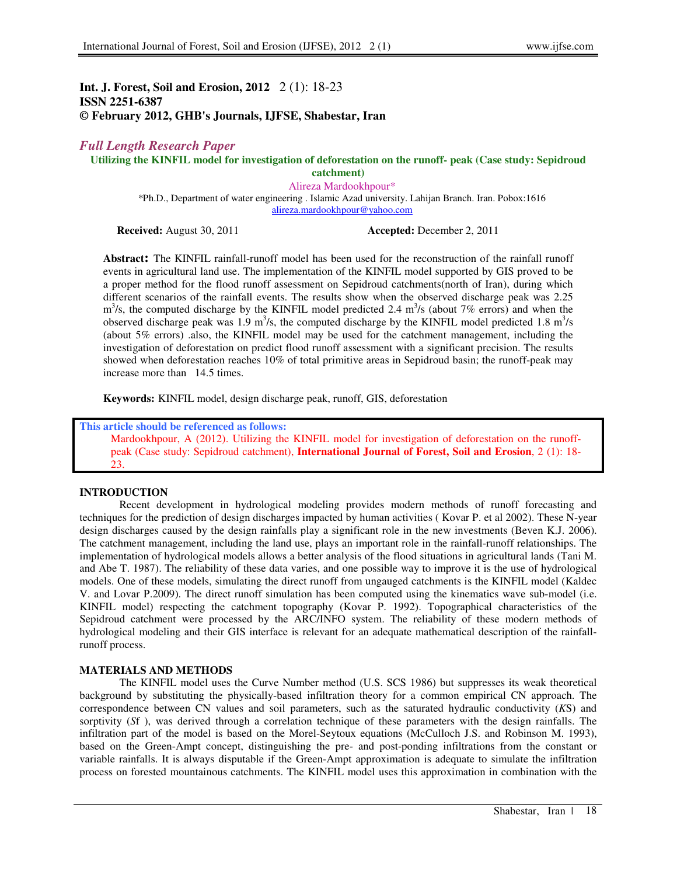# **Int. J. Forest, Soil and Erosion, 2012** 2 (1): 18-23 **ISSN 2251-6387 © February 2012, GHB's Journals, IJFSE, Shabestar, Iran**

# *Full Length Research Paper*

**Utilizing the KINFIL model for investigation of deforestation on the runoff- peak (Case study: Sepidroud catchment)** 

> Alireza Mardookhpour\* \*Ph.D., Department of water engineering . Islamic Azad university. Lahijan Branch. Iran. Pobox:1616 alireza.mardookhpour@yahoo.com

**Received:** August 30, 2011 **Accepted:** December 2, 2011

**Abstract:** The KINFIL rainfall-runoff model has been used for the reconstruction of the rainfall runoff events in agricultural land use. The implementation of the KINFIL model supported by GIS proved to be a proper method for the flood runoff assessment on Sepidroud catchments(north of Iran), during which different scenarios of the rainfall events. The results show when the observed discharge peak was 2.25  $\text{m}^3$ /s, the computed discharge by the KINFIL model predicted 2.4  $\text{m}^3$ /s (about 7% errors) and when the observed discharge peak was 1.9 m<sup>3</sup>/s, the computed discharge by the KINFIL model predicted 1.8 m<sup>3</sup>/s (about 5% errors) .also, the KINFIL model may be used for the catchment management, including the investigation of deforestation on predict flood runoff assessment with a significant precision. The results showed when deforestation reaches 10% of total primitive areas in Sepidroud basin; the runoff-peak may increase more than 14.5 times.

**Keywords:** KINFIL model, design discharge peak, runoff, GIS, deforestation

**This article should be referenced as follows:**  Mardookhpour, A (2012). Utilizing the KINFIL model for investigation of deforestation on the runoffpeak (Case study: Sepidroud catchment), **International Journal of Forest, Soil and Erosion**, 2 (1): 18- 23.

## **INTRODUCTION**

Recent development in hydrological modeling provides modern methods of runoff forecasting and techniques for the prediction of design discharges impacted by human activities ( Kovar P. et al 2002). These N-year design discharges caused by the design rainfalls play a significant role in the new investments (Beven K.J. 2006). The catchment management, including the land use, plays an important role in the rainfall-runoff relationships. The implementation of hydrological models allows a better analysis of the flood situations in agricultural lands (Tani M. and Abe T. 1987). The reliability of these data varies, and one possible way to improve it is the use of hydrological models. One of these models, simulating the direct runoff from ungauged catchments is the KINFIL model (Kaldec V. and Lovar P.2009). The direct runoff simulation has been computed using the kinematics wave sub-model (i.e. KINFIL model) respecting the catchment topography (Kovar P. 1992). Topographical characteristics of the Sepidroud catchment were processed by the ARC/INFO system. The reliability of these modern methods of hydrological modeling and their GIS interface is relevant for an adequate mathematical description of the rainfallrunoff process.

## **MATERIALS AND METHODS**

The KINFIL model uses the Curve Number method (U.S. SCS 1986) but suppresses its weak theoretical background by substituting the physically-based infiltration theory for a common empirical CN approach. The correspondence between CN values and soil parameters, such as the saturated hydraulic conductivity (*K*S) and sorptivity (*S*f ), was derived through a correlation technique of these parameters with the design rainfalls. The infiltration part of the model is based on the Morel-Seytoux equations (McCulloch J.S. and Robinson M. 1993), based on the Green-Ampt concept, distinguishing the pre- and post-ponding infiltrations from the constant or variable rainfalls. It is always disputable if the Green-Ampt approximation is adequate to simulate the infiltration process on forested mountainous catchments. The KINFIL model uses this approximation in combination with the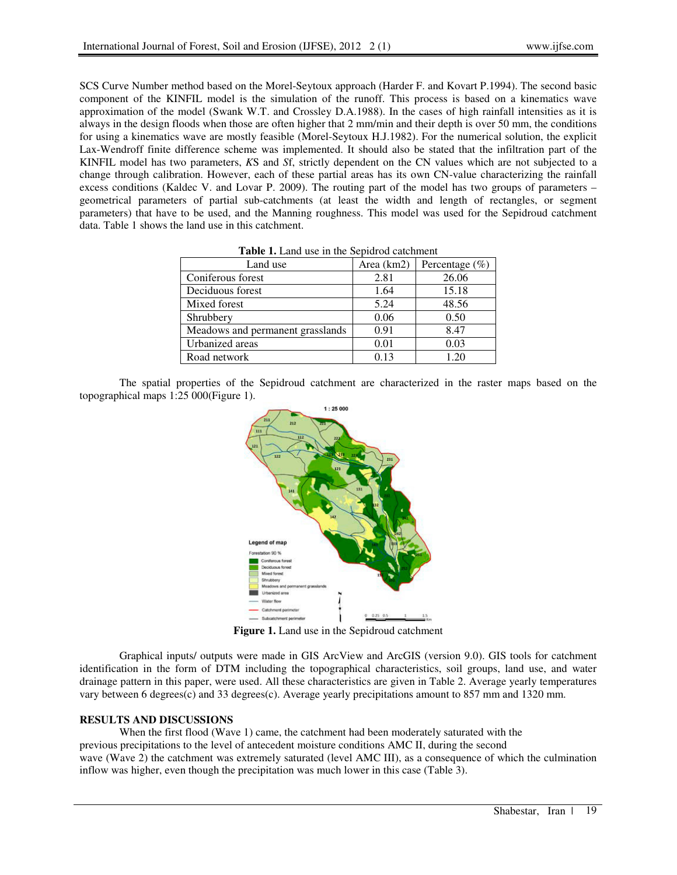SCS Curve Number method based on the Morel-Seytoux approach (Harder F. and Kovart P.1994). The second basic component of the KINFIL model is the simulation of the runoff. This process is based on a kinematics wave approximation of the model (Swank W.T. and Crossley D.A.1988). In the cases of high rainfall intensities as it is always in the design floods when those are often higher that 2 mm/min and their depth is over 50 mm, the conditions for using a kinematics wave are mostly feasible (Morel-Seytoux H.J.1982). For the numerical solution, the explicit Lax-Wendroff finite difference scheme was implemented. It should also be stated that the infiltration part of the KINFIL model has two parameters, *K*S and *S*f, strictly dependent on the CN values which are not subjected to a change through calibration. However, each of these partial areas has its own CN-value characterizing the rainfall excess conditions (Kaldec V. and Lovar P. 2009). The routing part of the model has two groups of parameters – geometrical parameters of partial sub-catchments (at least the width and length of rectangles, or segment parameters) that have to be used, and the Manning roughness. This model was used for the Sepidroud catchment data. Table 1 shows the land use in this catchment.

| <b>rapic 1.</b> Ealid use in the septured cateminent |            |                    |  |  |
|------------------------------------------------------|------------|--------------------|--|--|
| Land use                                             | Area (km2) | Percentage $(\% )$ |  |  |
| Coniferous forest                                    | 2.81       | 26.06              |  |  |
| Deciduous forest                                     | 1.64       | 15.18              |  |  |
| Mixed forest                                         | 5.24       | 48.56              |  |  |
| Shrubbery                                            | 0.06       | 0.50               |  |  |
| Meadows and permanent grasslands                     | 0.91       | 8.47               |  |  |
| Urbanized areas                                      | 0.01       | 0.03               |  |  |
| Road network                                         | 0.13       | 1.20               |  |  |

**Table 1.** Land use in the Sepidrod catchment

The spatial properties of the Sepidroud catchment are characterized in the raster maps based on the topographical maps 1:25 000(Figure 1).



**Figure 1.** Land use in the Sepidroud catchment

Graphical inputs/ outputs were made in GIS ArcView and ArcGIS (version 9.0). GIS tools for catchment identification in the form of DTM including the topographical characteristics, soil groups, land use, and water drainage pattern in this paper, were used. All these characteristics are given in Table 2. Average yearly temperatures vary between 6 degrees(c) and 33 degrees(c). Average yearly precipitations amount to 857 mm and 1320 mm.

#### **RESULTS AND DISCUSSIONS**

When the first flood (Wave 1) came, the catchment had been moderately saturated with the previous precipitations to the level of antecedent moisture conditions AMC II, during the second wave (Wave 2) the catchment was extremely saturated (level AMC III), as a consequence of which the culmination inflow was higher, even though the precipitation was much lower in this case (Table 3).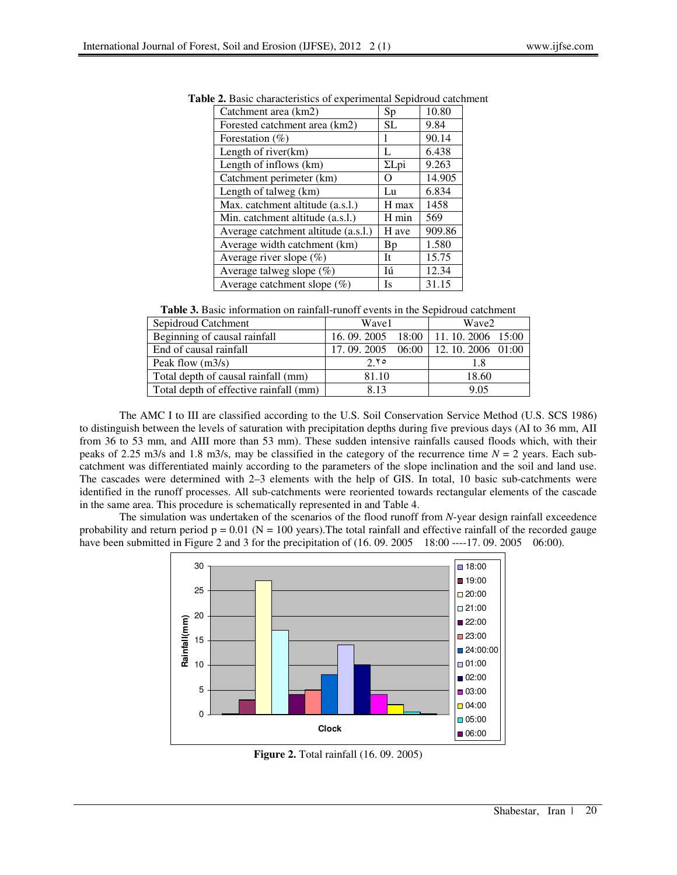| Catchment area (km2)                | Sp           | 10.80  |
|-------------------------------------|--------------|--------|
| Forested catchment area (km2)       | SL.          | 9.84   |
| Forestation (%)                     | 1            | 90.14  |
| Length of river(km)                 | L            | 6.438  |
| Length of inflows (km)              | $\Sigma$ Lpi | 9.263  |
| Catchment perimeter (km)            | O            | 14.905 |
| Length of talweg (km)               | Lu           | 6.834  |
| Max. catchment altitude (a.s.l.)    | H max        | 1458   |
| Min. catchment altitude (a.s.l.)    | H min        | 569    |
| Average catchment altitude (a.s.l.) | H ave        | 909.86 |
| Average width catchment (km)        | Bp           | 1.580  |
| Average river slope $(\%)$          | It           | 15.75  |
| Average talweg slope $(\%)$         | Iú           | 12.34  |
| Average catchment slope $(\%)$      | Is           | 31.15  |
|                                     |              |        |

**Table 2.** Basic characteristics of experimental Sepidroud catchment

**Table 3.** Basic information on rainfall-runoff events in the Sepidroud catchment

| Sepidroud Catchment                    | Wave1        |         | Wave2                    |  |
|----------------------------------------|--------------|---------|--------------------------|--|
| Beginning of causal rainfall           | 16, 09, 2005 |         | 18:00   11.10.2006 15:00 |  |
| End of causal rainfall                 | 17, 09, 2005 | $06:00$ | 12. 10. 2006 01:00       |  |
| Peak flow $(m3/s)$                     | 2.70         |         | 1.8                      |  |
| Total depth of causal rainfall (mm)    | 81.10        |         | 18.60                    |  |
| Total depth of effective rainfall (mm) | 813          |         | 9.05                     |  |

The AMC I to III are classified according to the U.S. Soil Conservation Service Method (U.S. SCS 1986) to distinguish between the levels of saturation with precipitation depths during five previous days (AI to 36 mm, AII from 36 to 53 mm, and AIII more than 53 mm). These sudden intensive rainfalls caused floods which, with their peaks of 2.25 m3/s and 1.8 m3/s, may be classified in the category of the recurrence time *N* = 2 years. Each subcatchment was differentiated mainly according to the parameters of the slope inclination and the soil and land use. The cascades were determined with 2–3 elements with the help of GIS. In total, 10 basic sub-catchments were identified in the runoff processes. All sub-catchments were reoriented towards rectangular elements of the cascade in the same area. This procedure is schematically represented in and Table 4.

The simulation was undertaken of the scenarios of the flood runoff from *N*-year design rainfall exceedence probability and return period  $p = 0.01$  (N = 100 years). The total rainfall and effective rainfall of the recorded gauge have been submitted in Figure 2 and 3 for the precipitation of (16.09. 2005 18:00 ----17. 09. 2005 06:00).



**Figure 2.** Total rainfall (16. 09. 2005)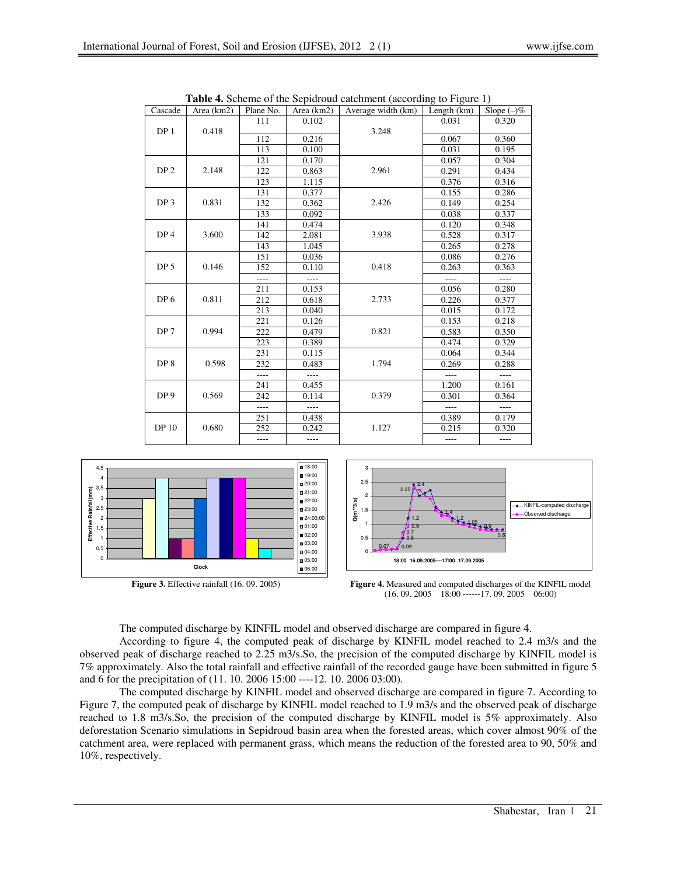| Cascade         | Area (km2) | Plane No.      | Area (km2) | Average width (km) | Length $(km)$  | Slope $(-)\%$  |
|-----------------|------------|----------------|------------|--------------------|----------------|----------------|
|                 | 111        | 0.102          |            | 0.031              | 0.320          |                |
| DP 1            | 0.418      |                |            | 3.248              |                |                |
|                 |            | 112            | 0.216      |                    | 0.067          | 0.360          |
|                 |            | 113            | 0.100      |                    | 0.031          | 0.195          |
|                 |            | 121            | 0.170      |                    | 0.057          | 0.304          |
| DP <sub>2</sub> | 2.148      | 122            | 0.863      | 2.961              | 0.291          | 0.434          |
|                 |            | 123            | 1.115      |                    | 0.376          | 0.316          |
|                 |            | 131            | 0.377      |                    | 0.155          | 0.286          |
| DP <sub>3</sub> | 0.831      | 132            | 0.362      | 2.426              | 0.149          | 0.254          |
|                 |            | 133            | 0.092      |                    | 0.038          | 0.337          |
|                 |            | 141            | 0.474      |                    | 0.120          | 0.348          |
| DP <sub>4</sub> | 3.600      | 142            | 2.081      | 3.938              | 0.528          | 0.317          |
|                 |            | 143            | 1.045      |                    | 0.265          | 0.278          |
|                 |            | 151            | 0.036      |                    | 0.086          | 0.276          |
| DP <sub>5</sub> | 0.146      | 152            | 0.110      | 0.418              | 0.263          | 0.363          |
|                 |            | ----           |            |                    |                |                |
|                 |            | 211            | 0.153      |                    | 0.056          | 0.280          |
| DP <sub>6</sub> | 0.811      | 212            | 0.618      | 2.733              | 0.226          | 0.377          |
|                 |            | 213            | 0.040      |                    | 0.015          | 0.172          |
|                 |            | 221            | 0.126      |                    | 0.153          | 0.218          |
| DP <sub>7</sub> | 0.994      | 222            | 0.479      | 0.821              | 0.583          | 0.350          |
|                 |            | 223            | 0.389      |                    | 0.474          | 0.329          |
|                 |            | 231            | 0.115      |                    | 0.064          | 0.344          |
| DP 8            | 0.598      | 232            | 0.483      | 1.794              | 0.269          | 0.288          |
|                 |            | $\overline{a}$ | $---$      |                    | $\overline{a}$ | $\overline{a}$ |
| DP <sub>9</sub> | 0.569      | 241            | 0.455      | 0.379              | 1.200          | 0.161          |
|                 |            | 242            | 0.114      |                    | 0.301          | 0.364          |
|                 |            | $\overline{a}$ | ----       |                    | ----           |                |
|                 | 0.680      | 251            | 0.438      |                    | 0.389          | 0.179          |
| <b>DP10</b>     |            | 252            | 0.242      | 1.127              | 0.215          | 0.320          |
|                 |            | $---$          | ----       |                    | $- - - -$      | ----           |

**Table 4.** Scheme of the Sepidroud catchment (according to Figure 1)





**Figure 3.** Effective rainfall (16. 09. 2005) **Figure 4.** Measured and computed discharges of the KINFIL model (16. 09. 2005 18:00 ------17. 09. 2005 06:00)

The computed discharge by KINFIL model and observed discharge are compared in figure 4.

According to figure 4, the computed peak of discharge by KINFIL model reached to 2.4 m3/s and the observed peak of discharge reached to 2.25 m3/s.So, the precision of the computed discharge by KINFIL model is 7% approximately. Also the total rainfall and effective rainfall of the recorded gauge have been submitted in figure 5 and 6 for the precipitation of (11. 10. 2006 15:00 ----12. 10. 2006 03:00).

The computed discharge by KINFIL model and observed discharge are compared in figure 7. According to Figure 7, the computed peak of discharge by KINFIL model reached to 1.9 m3/s and the observed peak of discharge reached to 1.8 m3/s.So, the precision of the computed discharge by KINFIL model is 5% approximately. Also deforestation Scenario simulations in Sepidroud basin area when the forested areas, which cover almost 90% of the catchment area, were replaced with permanent grass, which means the reduction of the forested area to 90, 50% and 10%, respectively.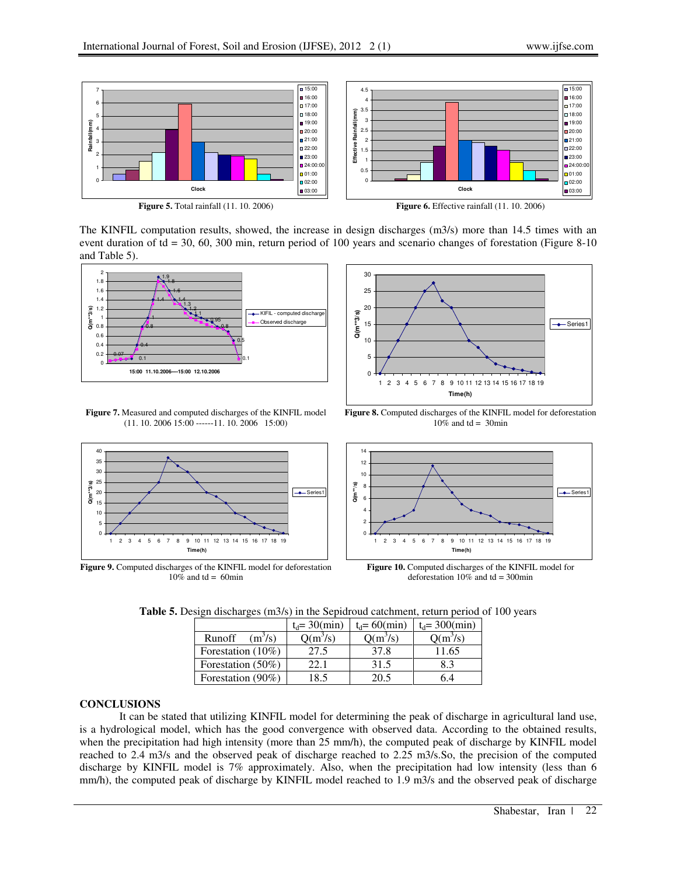

The KINFIL computation results, showed, the increase in design discharges (m3/s) more than 14.5 times with an event duration of td = 30, 60, 300 min, return period of 100 years and scenario changes of forestation (Figure 8-10) and Table 5).



**Figure 7.** Measured and computed discharges of the KINFIL model (11. 10. 2006 15:00 ------11. 10. 2006 15:00)



**Figure 9.** Computed discharges of the KINFIL model for deforestation  $10\%$  and td = 60min



**Figure 8.** Computed discharges of the KINFIL model for deforestation  $10\%$  and td = 30min



**Figure 10.** Computed discharges of the KINFIL model for deforestation  $10\%$  and td = 300min

**Table 5.** Design discharges (m3/s) in the Sepidroud catchment, return period of 100 years

|                               | $t_d = 30$ (min) | $t_d = 60$ (min) | $t_d = 300$ (min) |
|-------------------------------|------------------|------------------|-------------------|
| Runoff<br>(m <sup>3</sup> /s) | $Q(m^3/s)$       | $Q(m^3/s)$       | $Q(m^3/s)$        |
| Forestation (10%)             | 27.5             | 37.8             | 11.65             |
| Forestation (50%)             | 22.1             | 31.5             | 8.3               |
| Forestation (90%)             | 18.5             | 20.5             | 6 4               |

#### **CONCLUSIONS**

It can be stated that utilizing KINFIL model for determining the peak of discharge in agricultural land use, is a hydrological model, which has the good convergence with observed data. According to the obtained results, when the precipitation had high intensity (more than 25 mm/h), the computed peak of discharge by KINFIL model reached to 2.4 m3/s and the observed peak of discharge reached to 2.25 m3/s.So, the precision of the computed discharge by KINFIL model is 7% approximately. Also, when the precipitation had low intensity (less than 6 mm/h), the computed peak of discharge by KINFIL model reached to 1.9 m3/s and the observed peak of discharge